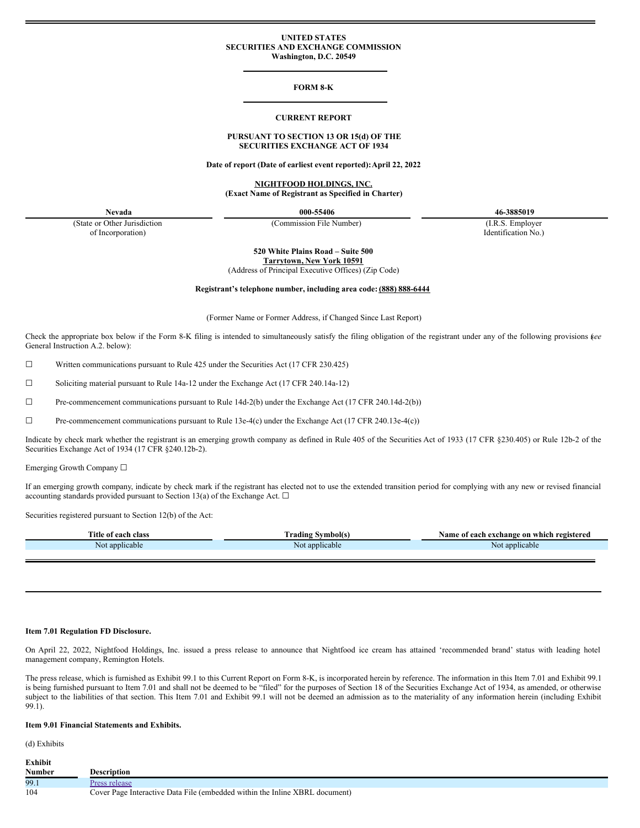## **UNITED STATES SECURITIES AND EXCHANGE COMMISSION Washington, D.C. 20549**

# **FORM 8-K**

### **CURRENT REPORT**

## **PURSUANT TO SECTION 13 OR 15(d) OF THE SECURITIES EXCHANGE ACT OF 1934**

**Date of report (Date of earliest event reported):April 22, 2022**

**NIGHTFOOD HOLDINGS, INC. (Exact Name of Registrant as Specified in Charter)**

(State or Other Jurisdiction of Incorporation)

(Commission File Number) (I.R.S. Employer

**Nevada 000-55406 46-3885019**

Identification No.)

**520 White Plains Road – Suite 500 Tarrytown, New York 10591**

(Address of Principal Executive Offices) (Zip Code)

**Registrant's telephone number, including area code: (888) 888-6444**

(Former Name or Former Address, if Changed Since Last Report)

Check the appropriate box below if the Form 8-K filing is intended to simultaneously satisfy the filing obligation of the registrant under any of the following provisions (*see* General Instruction A.2. below):

 $\Box$  Written communications pursuant to Rule 425 under the Securities Act (17 CFR 230.425)

☐ Soliciting material pursuant to Rule 14a-12 under the Exchange Act (17 CFR 240.14a-12)

☐ Pre-commencement communications pursuant to Rule 14d-2(b) under the Exchange Act (17 CFR 240.14d-2(b))

☐ Pre-commencement communications pursuant to Rule 13e-4(c) under the Exchange Act (17 CFR 240.13e-4(c))

Indicate by check mark whether the registrant is an emerging growth company as defined in Rule 405 of the Securities Act of 1933 (17 CFR §230.405) or Rule 12b-2 of the Securities Exchange Act of 1934 (17 CFR §240.12b-2).

Emerging Growth Company ☐

If an emerging growth company, indicate by check mark if the registrant has elected not to use the extended transition period for complying with any new or revised financial accounting standards provided pursuant to Section 13(a) of the Exchange Act.  $\Box$ 

Securities registered pursuant to Section 12(b) of the Act:

| <b>Title of</b><br>each class | Symbol(s)<br>radıng | registered<br>exchange on which i<br>Name<br>each<br>01 |
|-------------------------------|---------------------|---------------------------------------------------------|
| : applicable                  | pplicable<br>No     | applicable                                              |
|                               |                     |                                                         |

### **Item 7.01 Regulation FD Disclosure.**

On April 22, 2022, Nightfood Holdings, Inc. issued a press release to announce that Nightfood ice cream has attained 'recommended brand' status with leading hotel management company, Remington Hotels.

The press release, which is furnished as Exhibit 99.1 to this Current Report on Form 8-K, is incorporated herein by reference. The information in this Item 7.01 and Exhibit 99.1 is being furnished pursuant to Item 7.01 and shall not be deemed to be "filed" for the purposes of Section 18 of the Securities Exchange Act of 1934, as amended, or otherwise subject to the liabilities of that section. This Item 7.01 and Exhibit 99.1 will not be deemed an admission as to the materiality of any information herein (including Exhibit 99.1).

### **Item 9.01 Financial Statements and Exhibits.**

(d) Exhibits

| <b>Exhibit</b> |                                                                             |
|----------------|-----------------------------------------------------------------------------|
| <b>Number</b>  | <b>Description</b>                                                          |
| 99.1           | Press release                                                               |
| 104            | Cover Page Interactive Data File (embedded within the Inline XBRL document) |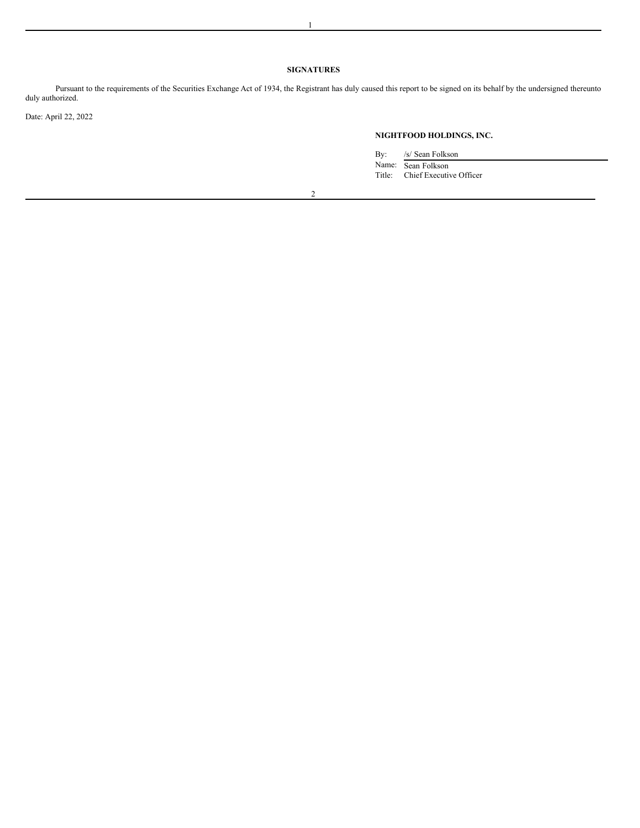# **SIGNATURES**

Pursuant to the requirements of the Securities Exchange Act of 1934, the Registrant has duly caused this report to be signed on its behalf by the undersigned thereunto duly authorized.

Date: April 22, 2022

## **NIGHTFOOD HOLDINGS, INC.**

By: /s/ Sean Folkson

Name: Sean Folkson Title: Chief Executive Officer

2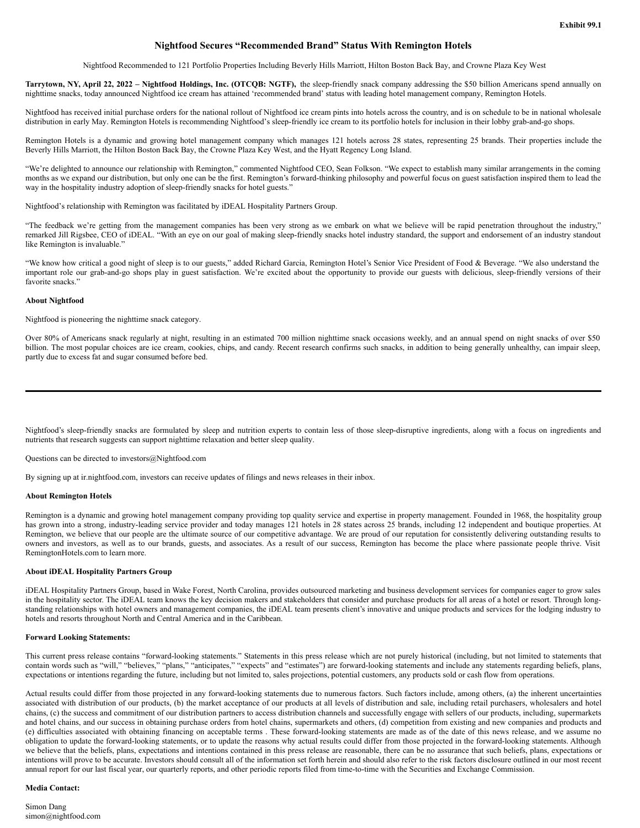# **Nightfood Secures "Recommended Brand" Status With Remington Hotels**

Nightfood Recommended to 121 Portfolio Properties Including Beverly Hills Marriott, Hilton Boston Back Bay, and Crowne Plaza Key West

<span id="page-2-0"></span>Tarrytown, NY, April 22, 2022 - Nightfood Holdings, Inc. (OTCQB: NGTF), the sleep-friendly snack company addressing the \$50 billion Americans spend annually on nighttime snacks, today announced Nightfood ice cream has attained 'recommended brand' status with leading hotel management company, Remington Hotels.

Nightfood has received initial purchase orders for the national rollout of Nightfood ice cream pints into hotels across the country, and is on schedule to be in national wholesale distribution in early May. Remington Hotels is recommending Nightfood's sleep-friendly ice cream to its portfolio hotels for inclusion in their lobby grab-and-go shops.

Remington Hotels is a dynamic and growing hotel management company which manages 121 hotels across 28 states, representing 25 brands. Their properties include the Beverly Hills Marriott, the Hilton Boston Back Bay, the Crowne Plaza Key West, and the Hyatt Regency Long Island.

"We're delighted to announce our relationship with Remington," commented Nightfood CEO, Sean Folkson. "We expect to establish many similar arrangements in the coming months as we expand our distribution, but only one can be the first. Remington's forward-thinking philosophy and powerful focus on guest satisfaction inspired them to lead the way in the hospitality industry adoption of sleep-friendly snacks for hotel guests."

Nightfood's relationship with Remington was facilitated by iDEAL Hospitality Partners Group.

"The feedback we're getting from the management companies has been very strong as we embark on what we believe will be rapid penetration throughout the industry," remarked Jill Rigsbee, CEO of iDEAL. "With an eye on our goal of making sleep-friendly snacks hotel industry standard, the support and endorsement of an industry standout like Remington is invaluable."

"We know how critical a good night of sleep is to our guests," added Richard Garcia, Remington Hotel's Senior Vice President of Food & Beverage. "We also understand the important role our grab-and-go shops play in guest satisfaction. We're excited about the opportunity to provide our guests with delicious, sleep-friendly versions of their favorite snacks.'

### **About Nightfood**

Nightfood is pioneering the nighttime snack category.

Over 80% of Americans snack regularly at night, resulting in an estimated 700 million nighttime snack occasions weekly, and an annual spend on night snacks of over \$50 billion. The most popular choices are ice cream, cookies, chips, and candy. Recent research confirms such snacks, in addition to being generally unhealthy, can impair sleep, partly due to excess fat and sugar consumed before bed.

Nightfood's sleep-friendly snacks are formulated by sleep and nutrition experts to contain less of those sleep-disruptive ingredients, along with a focus on ingredients and nutrients that research suggests can support nighttime relaxation and better sleep quality.

Questions can be directed to investors@Nightfood.com

By signing up at ir.nightfood.com, investors can receive updates of filings and news releases in their inbox.

#### **About Remington Hotels**

Remington is a dynamic and growing hotel management company providing top quality service and expertise in property management. Founded in 1968, the hospitality group has grown into a strong, industry-leading service provider and today manages 121 hotels in 28 states across 25 brands, including 12 independent and boutique properties. At Remington, we believe that our people are the ultimate source of our competitive advantage. We are proud of our reputation for consistently delivering outstanding results to owners and investors, as well as to our brands, guests, and associates. As a result of our success, Remington has become the place where passionate people thrive. Visit RemingtonHotels.com to learn more.

### **About iDEAL Hospitality Partners Group**

iDEAL Hospitality Partners Group, based in Wake Forest, North Carolina, provides outsourced marketing and business development services for companies eager to grow sales in the hospitality sector. The iDEAL team knows the key decision makers and stakeholders that consider and purchase products for all areas of a hotel or resort. Through longstanding relationships with hotel owners and management companies, the iDEAL team presents client's innovative and unique products and services for the lodging industry to hotels and resorts throughout North and Central America and in the Caribbean.

### **Forward Looking Statements:**

This current press release contains "forward-looking statements." Statements in this press release which are not purely historical (including, but not limited to statements that contain words such as "will," "believes," "plans," "anticipates," "expects" and "estimates") are forward-looking statements and include any statements regarding beliefs, plans, expectations or intentions regarding the future, including but not limited to, sales projections, potential customers, any products sold or cash flow from operations.

Actual results could differ from those projected in any forward-looking statements due to numerous factors. Such factors include, among others, (a) the inherent uncertainties associated with distribution of our products, (b) the market acceptance of our products at all levels of distribution and sale, including retail purchasers, wholesalers and hotel chains, (c) the success and commitment of our distribution partners to access distribution channels and successfully engage with sellers of our products, including, supermarkets and hotel chains, and our success in obtaining purchase orders from hotel chains, supermarkets and others, (d) competition from existing and new companies and products and (e) difficulties associated with obtaining financing on acceptable terms . These forward-looking statements are made as of the date of this news release, and we assume no obligation to update the forward-looking statements, or to update the reasons why actual results could differ from those projected in the forward-looking statements. Although we believe that the beliefs, plans, expectations and intentions contained in this press release are reasonable, there can be no assurance that such beliefs, plans, expectations or intentions will prove to be accurate. Investors should consult all of the information set forth herein and should also refer to the risk factors disclosure outlined in our most recent annual report for our last fiscal year, our quarterly reports, and other periodic reports filed from time-to-time with the Securities and Exchange Commission.

#### **Media Contact:**

Simon Dang simon@nightfood.com